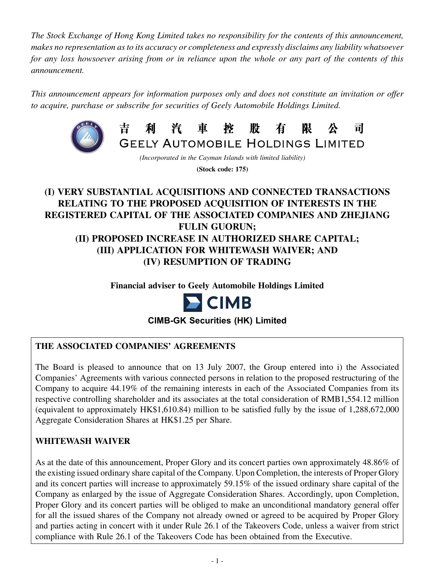*The Stock Exchange of Hong Kong Limited takes no responsibility for the contents of this announcement, makes no representation as to its accuracy or completeness and expressly disclaims any liability whatsoever for any loss howsoever arising from or in reliance upon the whole or any part of the contents of this announcement.*

*This announcement appears for information purposes only and does not constitute an invitation or offer to acquire, purchase or subscribe for securities of Geely Automobile Holdings Limited.*



*(Incorporated in the Cayman Islands with limited liability)* **(Stock code: 175)**

븨

# **(I) VERY SUBSTANTIAL ACQUISITIONS AND CONNECTED TRANSACTIONS RELATING TO THE PROPOSED ACQUISITION OF INTERESTS IN THE REGISTERED CAPITAL OF THE ASSOCIATED COMPANIES AND ZHEJIANG FULIN GUORUN; (II) PROPOSED INCREASE IN AUTHORIZED SHARE CAPITAL; (III) APPLICATION FOR WHITEWASH WAIVER; AND (IV) RESUMPTION OF TRADING**

**Financial adviser to Geely Automobile Holdings Limited**



**CIMB-GK Securities (HK) Limited**

## **The ASSOCIATED COMPANIES' AGREEMENTS**

The Board is pleased to announce that on 13 July 2007, the Group entered into i) the Associated Companies' Agreements with various connected persons in relation to the proposed restructuring of the Company to acquire 44.19% of the remaining interests in each of the Associated Companies from its respective controlling shareholder and its associates at the total consideration of RMB1,554.12 million (equivalent to approximately HK\$1,610.84) million to be satisfied fully by the issue of 1,288,672,000 Aggregate Consideration Shares at HK\$1.25 per Share.

#### **WHITEWASH WAIVER**

As at the date of this announcement, Proper Glory and its concert parties own approximately 48.86% of the existing issued ordinary share capital of the Company. Upon Completion, the interests of Proper Glory and its concert parties will increase to approximately 59.15% of the issued ordinary share capital of the Company as enlarged by the issue of Aggregate Consideration Shares. Accordingly, upon Completion, Proper Glory and its concert parties will be obliged to make an unconditional mandatory general offer for all the issued shares of the Company not already owned or agreed to be acquired by Proper Glory and parties acting in concert with it under Rule 26.1 of the Takeovers Code, unless a waiver from strict compliance with Rule 26.1 of the Takeovers Code has been obtained from the Executive.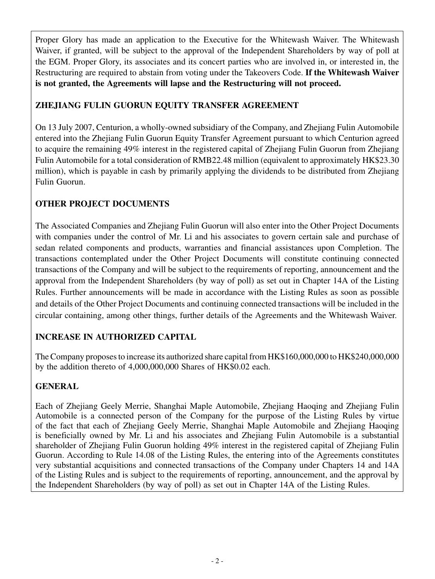Proper Glory has made an application to the Executive for the Whitewash Waiver. The Whitewash Waiver, if granted, will be subject to the approval of the Independent Shareholders by way of poll at the EGM. Proper Glory, its associates and its concert parties who are involved in, or interested in, the Restructuring are required to abstain from voting under the Takeovers Code. **If the Whitewash Waiver is not granted, the Agreements will lapse and the Restructuring will not proceed.**

# **ZHEJIANG FULIN GUORUN EQUITY TRANSFER AGREEMENT**

On 13 July 2007, Centurion, a wholly-owned subsidiary of the Company, and Zhejiang Fulin Automobile entered into the Zhejiang Fulin Guorun Equity Transfer Agreement pursuant to which Centurion agreed to acquire the remaining 49% interest in the registered capital of Zhejiang Fulin Guorun from Zhejiang Fulin Automobile for a total consideration of RMB22.48 million (equivalent to approximately HK\$23.30 million), which is payable in cash by primarily applying the dividends to be distributed from Zhejiang Fulin Guorun.

# **OTHER PROJECT DOCUMENTS**

The Associated Companies and Zhejiang Fulin Guorun will also enter into the Other Project Documents with companies under the control of Mr. Li and his associates to govern certain sale and purchase of sedan related components and products, warranties and financial assistances upon Completion. The transactions contemplated under the Other Project Documents will constitute continuing connected transactions of the Company and will be subject to the requirements of reporting, announcement and the approval from the Independent Shareholders (by way of poll) as set out in Chapter 14A of the Listing Rules. Further announcements will be made in accordance with the Listing Rules as soon as possible and details of the Other Project Documents and continuing connected transactions will be included in the circular containing, among other things, further details of the Agreements and the Whitewash Waiver.

# **INCREASE IN AUTHORIZED CAPITAL**

The Company proposes to increase its authorized share capital from HK\$160,000,000 to HK\$240,000,000 by the addition thereto of 4,000,000,000 Shares of HK\$0.02 each.

## **GENERAL**

Each of Zhejiang Geely Merrie, Shanghai Maple Automobile, Zhejiang Haoqing and Zhejiang Fulin Automobile is a connected person of the Company for the purpose of the Listing Rules by virtue of the fact that each of Zhejiang Geely Merrie, Shanghai Maple Automobile and Zhejiang Haoqing is beneficially owned by Mr. Li and his associates and Zhejiang Fulin Automobile is a substantial shareholder of Zhejiang Fulin Guorun holding 49% interest in the registered capital of Zhejiang Fulin Guorun. According to Rule 14.08 of the Listing Rules, the entering into of the Agreements constitutes very substantial acquisitions and connected transactions of the Company under Chapters 14 and 14A of the Listing Rules and is subject to the requirements of reporting, announcement, and the approval by the Independent Shareholders (by way of poll) as set out in Chapter 14A of the Listing Rules.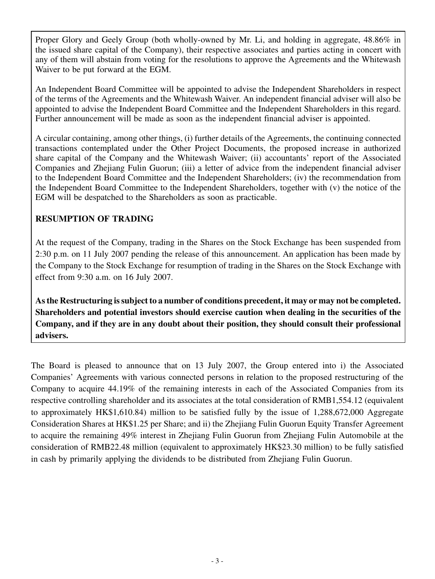Proper Glory and Geely Group (both wholly-owned by Mr. Li, and holding in aggregate, 48.86% in the issued share capital of the Company), their respective associates and parties acting in concert with any of them will abstain from voting for the resolutions to approve the Agreements and the Whitewash Waiver to be put forward at the EGM.

An Independent Board Committee will be appointed to advise the Independent Shareholders in respect of the terms of the Agreements and the Whitewash Waiver. An independent financial adviser will also be appointed to advise the Independent Board Committee and the Independent Shareholders in this regard. Further announcement will be made as soon as the independent financial adviser is appointed.

A circular containing, among other things, (i) further details of the Agreements, the continuing connected transactions contemplated under the Other Project Documents, the proposed increase in authorized share capital of the Company and the Whitewash Waiver; (ii) accountants' report of the Associated Companies and Zhejiang Fulin Guorun; (iii) a letter of advice from the independent financial adviser to the Independent Board Committee and the Independent Shareholders; (iv) the recommendation from the Independent Board Committee to the Independent Shareholders, together with (v) the notice of the EGM will be despatched to the Shareholders as soon as practicable.

### **RESUMPTION OF TRADING**

At the request of the Company, trading in the Shares on the Stock Exchange has been suspended from 2:30 p.m. on 11 July 2007 pending the release of this announcement. An application has been made by the Company to the Stock Exchange for resumption of trading in the Shares on the Stock Exchange with effect from 9:30 a.m. on 16 July 2007.

**As the Restructuring is subject to a number of conditions precedent, it may or may not be completed. Shareholders and potential investors should exercise caution when dealing in the securities of the Company, and if they are in any doubt about their position, they should consult their professional advisers.**

The Board is pleased to announce that on 13 July 2007, the Group entered into i) the Associated Companies' Agreements with various connected persons in relation to the proposed restructuring of the Company to acquire 44.19% of the remaining interests in each of the Associated Companies from its respective controlling shareholder and its associates at the total consideration of RMB1,554.12 (equivalent to approximately HK\$1,610.84) million to be satisfied fully by the issue of 1,288,672,000 Aggregate Consideration Shares at HK\$1.25 per Share; and ii) the Zhejiang Fulin Guorun Equity Transfer Agreement to acquire the remaining 49% interest in Zhejiang Fulin Guorun from Zhejiang Fulin Automobile at the consideration of RMB22.48 million (equivalent to approximately HK\$23.30 million) to be fully satisfied in cash by primarily applying the dividends to be distributed from Zhejiang Fulin Guorun.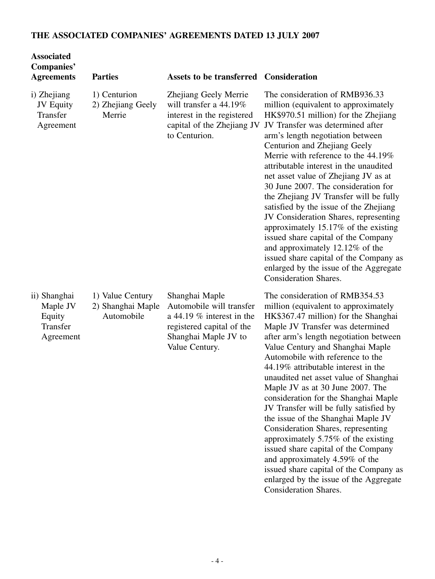# **THE ASSOCIATED COMPANIES' AGREEMENTS DATED 13 JULY 2007**

| <b>Associated</b><br><b>Companies'</b><br><b>Agreements</b> | <b>Parties</b>                                      | <b>Assets to be transferred Consideration</b>                                                                                                    |                                                                                                                                                                                                                                                                                                                                                                                                                                                                                                                                                                                                                                                                                                                                                                                            |
|-------------------------------------------------------------|-----------------------------------------------------|--------------------------------------------------------------------------------------------------------------------------------------------------|--------------------------------------------------------------------------------------------------------------------------------------------------------------------------------------------------------------------------------------------------------------------------------------------------------------------------------------------------------------------------------------------------------------------------------------------------------------------------------------------------------------------------------------------------------------------------------------------------------------------------------------------------------------------------------------------------------------------------------------------------------------------------------------------|
| i) Zhejiang<br><b>JV Equity</b><br>Transfer<br>Agreement    | 1) Centurion<br>2) Zhejiang Geely<br>Merrie         | Zhejiang Geely Merrie<br>will transfer a $44.19\%$<br>interest in the registered<br>capital of the Zhejiang JV<br>to Centurion.                  | The consideration of RMB936.33<br>million (equivalent to approximately<br>HK\$970.51 million) for the Zhejiang<br>JV Transfer was determined after<br>arm's length negotiation between<br>Centurion and Zhejiang Geely<br>Merrie with reference to the 44.19%<br>attributable interest in the unaudited<br>net asset value of Zhejiang JV as at<br>30 June 2007. The consideration for<br>the Zhejiang JV Transfer will be fully<br>satisfied by the issue of the Zhejiang<br>JV Consideration Shares, representing<br>approximately 15.17% of the existing<br>issued share capital of the Company<br>and approximately 12.12% of the<br>issued share capital of the Company as<br>enlarged by the issue of the Aggregate<br><b>Consideration Shares.</b>                                  |
| ii) Shanghai<br>Maple JV<br>Equity<br>Transfer<br>Agreement | 1) Value Century<br>2) Shanghai Maple<br>Automobile | Shanghai Maple<br>Automobile will transfer<br>a 44.19 $%$ interest in the<br>registered capital of the<br>Shanghai Maple JV to<br>Value Century. | The consideration of RMB354.53<br>million (equivalent to approximately<br>HK\$367.47 million) for the Shanghai<br>Maple JV Transfer was determined<br>after arm's length negotiation between<br>Value Century and Shanghai Maple<br>Automobile with reference to the<br>44.19% attributable interest in the<br>unaudited net asset value of Shanghai<br>Maple JV as at 30 June 2007. The<br>consideration for the Shanghai Maple<br>JV Transfer will be fully satisfied by<br>the issue of the Shanghai Maple JV<br>Consideration Shares, representing<br>approximately 5.75% of the existing<br>issued share capital of the Company<br>and approximately 4.59% of the<br>issued share capital of the Company as<br>enlarged by the issue of the Aggregate<br><b>Consideration Shares.</b> |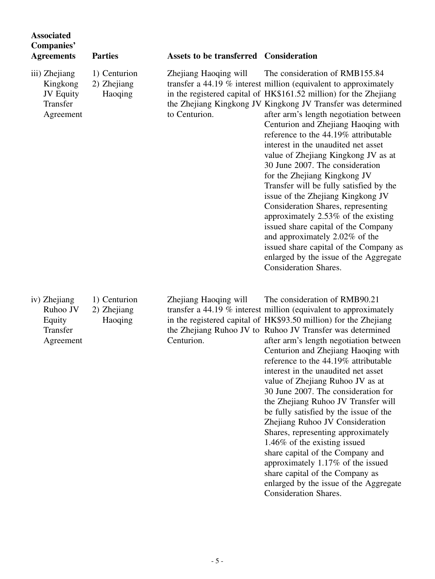| <b>Associated</b><br><b>Companies'</b><br><b>Agreements</b>            | <b>Parties</b>                         | <b>Assets to be transferred Consideration</b> |                                                                                                                                                                                                                                                                                                                                                                                                                                                                                                                                                                                                                                                                                                                                                                                                                                                                               |
|------------------------------------------------------------------------|----------------------------------------|-----------------------------------------------|-------------------------------------------------------------------------------------------------------------------------------------------------------------------------------------------------------------------------------------------------------------------------------------------------------------------------------------------------------------------------------------------------------------------------------------------------------------------------------------------------------------------------------------------------------------------------------------------------------------------------------------------------------------------------------------------------------------------------------------------------------------------------------------------------------------------------------------------------------------------------------|
| iii) Zhejiang<br>Kingkong<br><b>JV Equity</b><br>Transfer<br>Agreement | 1) Centurion<br>2) Zhejiang<br>Haoqing | Zhejiang Haoqing will<br>to Centurion.        | The consideration of RMB155.84<br>transfer a $44.19\%$ interest million (equivalent to approximately<br>in the registered capital of HK\$161.52 million) for the Zhejiang<br>the Zhejiang Kingkong JV Kingkong JV Transfer was determined<br>after arm's length negotiation between<br>Centurion and Zhejiang Haoqing with<br>reference to the 44.19% attributable<br>interest in the unaudited net asset<br>value of Zhejiang Kingkong JV as at<br>30 June 2007. The consideration<br>for the Zhejiang Kingkong JV<br>Transfer will be fully satisfied by the<br>issue of the Zhejiang Kingkong JV<br>Consideration Shares, representing<br>approximately 2.53% of the existing<br>issued share capital of the Company<br>and approximately 2.02% of the<br>issued share capital of the Company as<br>enlarged by the issue of the Aggregate<br><b>Consideration Shares.</b> |
| iv) Zhejiang<br>Ruhoo JV<br>Equity<br>Transfer<br>Agreement            | 1) Centurion<br>2) Zhejiang<br>Haoqing | Zhejiang Haoqing will<br>Centurion.           | The consideration of RMB90.21<br>transfer a $44.19\%$ interest million (equivalent to approximately<br>in the registered capital of HK\$93.50 million) for the Zhejiang<br>the Zhejiang Ruhoo JV to Ruhoo JV Transfer was determined<br>after arm's length negotiation between<br>Centurion and Zhejiang Haoqing with<br>reference to the 44.19% attributable<br>interest in the unaudited net asset<br>value of Zhejiang Ruhoo JV as at<br>30 June 2007. The consideration for<br>the Zhejiang Ruhoo JV Transfer will<br>be fully satisfied by the issue of the<br>Zhejiang Ruhoo JV Consideration<br>Shares, representing approximately<br>1.46% of the existing issued<br>share capital of the Company and                                                                                                                                                                 |

approximately 1.17% of the issued share capital of the Company as enlarged by the issue of the Aggregate Consideration Shares.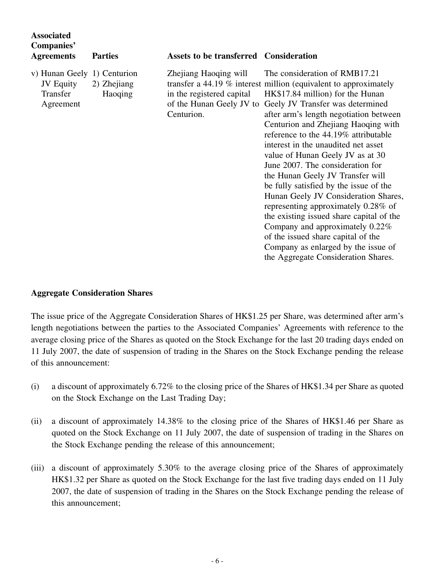| <b>Associated</b><br>Companies'<br><b>Agreements</b>              | <b>Parties</b>         | <b>Assets to be transferred Consideration</b>                                                |                                                                                                                                                                                                                                                                                                                                                                                                                                                                                                                                                                                                                                                                                                                                                                                     |
|-------------------------------------------------------------------|------------------------|----------------------------------------------------------------------------------------------|-------------------------------------------------------------------------------------------------------------------------------------------------------------------------------------------------------------------------------------------------------------------------------------------------------------------------------------------------------------------------------------------------------------------------------------------------------------------------------------------------------------------------------------------------------------------------------------------------------------------------------------------------------------------------------------------------------------------------------------------------------------------------------------|
| v) Hunan Geely 1) Centurion<br>JV Equity<br>Transfer<br>Agreement | 2) Zhejiang<br>Haoqing | Zhejiang Haoqing will<br>in the registered capital<br>of the Hunan Geely JV to<br>Centurion. | The consideration of RMB17.21<br>transfer a $44.19\%$ interest million (equivalent to approximately<br>HK\$17.84 million) for the Hunan<br>Geely JV Transfer was determined<br>after arm's length negotiation between<br>Centurion and Zhejiang Haoqing with<br>reference to the 44.19% attributable<br>interest in the unaudited net asset<br>value of Hunan Geely JV as at 30<br>June 2007. The consideration for<br>the Hunan Geely JV Transfer will<br>be fully satisfied by the issue of the<br>Hunan Geely JV Consideration Shares,<br>representing approximately 0.28% of<br>the existing issued share capital of the<br>Company and approximately 0.22%<br>of the issued share capital of the<br>Company as enlarged by the issue of<br>the Aggregate Consideration Shares. |

#### **Aggregate Consideration Shares**

The issue price of the Aggregate Consideration Shares of HK\$1.25 per Share, was determined after arm's length negotiations between the parties to the Associated Companies' Agreements with reference to the average closing price of the Shares as quoted on the Stock Exchange for the last 20 trading days ended on 11 July 2007, the date of suspension of trading in the Shares on the Stock Exchange pending the release of this announcement:

- (i) a discount of approximately 6.72% to the closing price of the Shares of HK\$1.34 per Share as quoted on the Stock Exchange on the Last Trading Day;
- (ii) a discount of approximately 14.38% to the closing price of the Shares of HK\$1.46 per Share as quoted on the Stock Exchange on 11 July 2007, the date of suspension of trading in the Shares on the Stock Exchange pending the release of this announcement;
- (iii) a discount of approximately 5.30% to the average closing price of the Shares of approximately HK\$1.32 per Share as quoted on the Stock Exchange for the last five trading days ended on 11 July 2007, the date of suspension of trading in the Shares on the Stock Exchange pending the release of this announcement;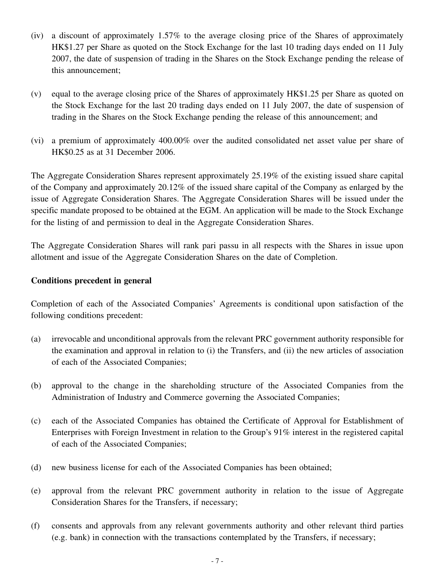- (iv) a discount of approximately 1.57% to the average closing price of the Shares of approximately HK\$1.27 per Share as quoted on the Stock Exchange for the last 10 trading days ended on 11 July 2007, the date of suspension of trading in the Shares on the Stock Exchange pending the release of this announcement;
- (v) equal to the average closing price of the Shares of approximately HK\$1.25 per Share as quoted on the Stock Exchange for the last 20 trading days ended on 11 July 2007, the date of suspension of trading in the Shares on the Stock Exchange pending the release of this announcement; and
- (vi) a premium of approximately 400.00% over the audited consolidated net asset value per share of HK\$0.25 as at 31 December 2006.

The Aggregate Consideration Shares represent approximately 25.19% of the existing issued share capital of the Company and approximately 20.12% of the issued share capital of the Company as enlarged by the issue of Aggregate Consideration Shares. The Aggregate Consideration Shares will be issued under the specific mandate proposed to be obtained at the EGM. An application will be made to the Stock Exchange for the listing of and permission to deal in the Aggregate Consideration Shares.

The Aggregate Consideration Shares will rank pari passu in all respects with the Shares in issue upon allotment and issue of the Aggregate Consideration Shares on the date of Completion.

#### **Conditions precedent in general**

Completion of each of the Associated Companies' Agreements is conditional upon satisfaction of the following conditions precedent:

- (a) irrevocable and unconditional approvals from the relevant PRC government authority responsible for the examination and approval in relation to (i) the Transfers, and (ii) the new articles of association of each of the Associated Companies;
- (b) approval to the change in the shareholding structure of the Associated Companies from the Administration of Industry and Commerce governing the Associated Companies;
- (c) each of the Associated Companies has obtained the Certificate of Approval for Establishment of Enterprises with Foreign Investment in relation to the Group's 91% interest in the registered capital of each of the Associated Companies;
- (d) new business license for each of the Associated Companies has been obtained;
- (e) approval from the relevant PRC government authority in relation to the issue of Aggregate Consideration Shares for the Transfers, if necessary;
- (f) consents and approvals from any relevant governments authority and other relevant third parties (e.g. bank) in connection with the transactions contemplated by the Transfers, if necessary;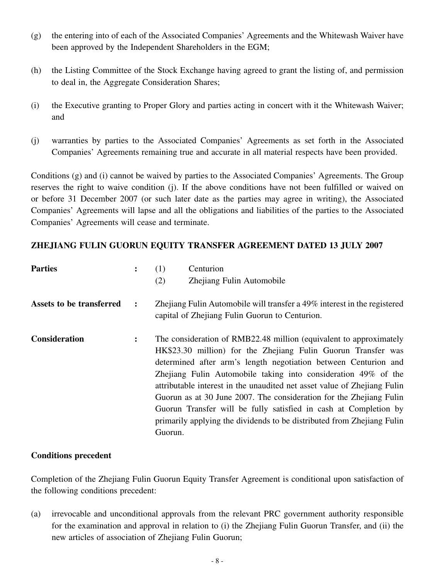- (g) the entering into of each of the Associated Companies' Agreements and the Whitewash Waiver have been approved by the Independent Shareholders in the EGM;
- (h) the Listing Committee of the Stock Exchange having agreed to grant the listing of, and permission to deal in, the Aggregate Consideration Shares;
- (i) the Executive granting to Proper Glory and parties acting in concert with it the Whitewash Waiver; and
- (j) warranties by parties to the Associated Companies' Agreements as set forth in the Associated Companies' Agreements remaining true and accurate in all material respects have been provided.

Conditions (g) and (i) cannot be waived by parties to the Associated Companies' Agreements. The Group reserves the right to waive condition (j). If the above conditions have not been fulfilled or waived on or before 31 December 2007 (or such later date as the parties may agree in writing), the Associated Companies' Agreements will lapse and all the obligations and liabilities of the parties to the Associated Companies' Agreements will cease and terminate.

#### **ZHEJIANG FULIN GUORUN EQUITY TRANSFER AGREEMENT DATED 13 JULY 2007**

| <b>Parties</b>           | $\ddot{\cdot}$ | Centurion<br>(1)                                                                                                                                                                                                                                                                                                                                                                                                                                                                                                                                                                     |
|--------------------------|----------------|--------------------------------------------------------------------------------------------------------------------------------------------------------------------------------------------------------------------------------------------------------------------------------------------------------------------------------------------------------------------------------------------------------------------------------------------------------------------------------------------------------------------------------------------------------------------------------------|
|                          |                | Zhejiang Fulin Automobile<br>(2)                                                                                                                                                                                                                                                                                                                                                                                                                                                                                                                                                     |
| Assets to be transferred | $\ddot{\cdot}$ | Zhejiang Fulin Automobile will transfer a 49% interest in the registered<br>capital of Zhejiang Fulin Guorun to Centurion.                                                                                                                                                                                                                                                                                                                                                                                                                                                           |
| <b>Consideration</b>     | $\ddot{\cdot}$ | The consideration of RMB22.48 million (equivalent to approximately<br>HK\$23.30 million) for the Zhejiang Fulin Guorun Transfer was<br>determined after arm's length negotiation between Centurion and<br>Zhejiang Fulin Automobile taking into consideration 49% of the<br>attributable interest in the unaudited net asset value of Zhejiang Fulin<br>Guorun as at 30 June 2007. The consideration for the Zhejiang Fulin<br>Guorun Transfer will be fully satisfied in cash at Completion by<br>primarily applying the dividends to be distributed from Zhejiang Fulin<br>Guorun. |

#### **Conditions precedent**

Completion of the Zhejiang Fulin Guorun Equity Transfer Agreement is conditional upon satisfaction of the following conditions precedent:

(a) irrevocable and unconditional approvals from the relevant PRC government authority responsible for the examination and approval in relation to (i) the Zhejiang Fulin Guorun Transfer, and (ii) the new articles of association of Zhejiang Fulin Guorun;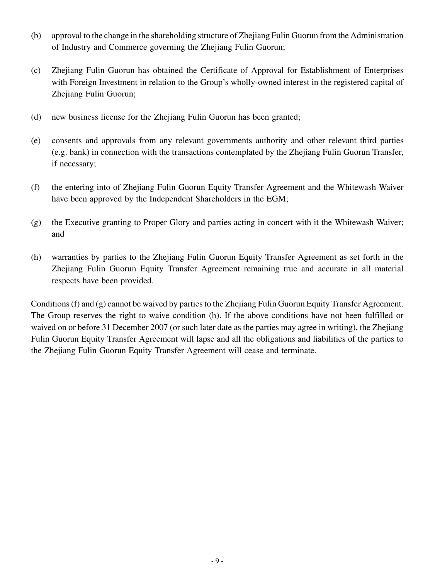- (b) approval to the change in the shareholding structure of Zhejiang Fulin Guorun from the Administration of Industry and Commerce governing the Zhejiang Fulin Guorun;
- (c) Zhejiang Fulin Guorun has obtained the Certificate of Approval for Establishment of Enterprises with Foreign Investment in relation to the Group's wholly-owned interest in the registered capital of Zhejiang Fulin Guorun;
- (d) new business license for the Zhejiang Fulin Guorun has been granted;
- (e) consents and approvals from any relevant governments authority and other relevant third parties (e.g. bank) in connection with the transactions contemplated by the Zhejiang Fulin Guorun Transfer, if necessary;
- (f) the entering into of Zhejiang Fulin Guorun Equity Transfer Agreement and the Whitewash Waiver have been approved by the Independent Shareholders in the EGM;
- (g) the Executive granting to Proper Glory and parties acting in concert with it the Whitewash Waiver; and
- (h) warranties by parties to the Zhejiang Fulin Guorun Equity Transfer Agreement as set forth in the Zhejiang Fulin Guorun Equity Transfer Agreement remaining true and accurate in all material respects have been provided.

Conditions (f) and (g) cannot be waived by parties to the Zhejiang Fulin Guorun Equity Transfer Agreement. The Group reserves the right to waive condition (h). If the above conditions have not been fulfilled or waived on or before 31 December 2007 (or such later date as the parties may agree in writing), the Zhejiang Fulin Guorun Equity Transfer Agreement will lapse and all the obligations and liabilities of the parties to the Zhejiang Fulin Guorun Equity Transfer Agreement will cease and terminate.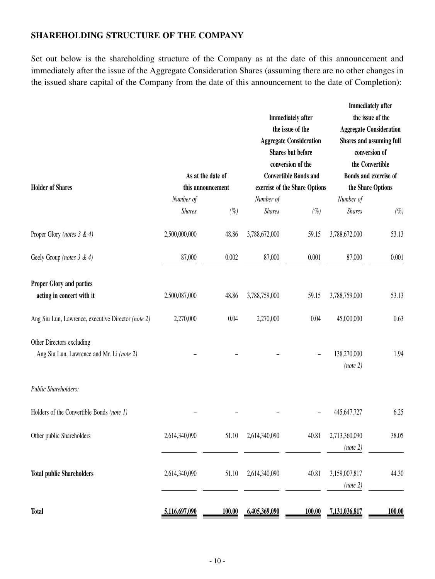### **SHAREHOLDING STRUCTURE OF THE COMPANY**

Set out below is the shareholding structure of the Company as at the date of this announcement and immediately after the issue of the Aggregate Consideration Shares (assuming there are no other changes in the issued share capital of the Company from the date of this announcement to the date of Completion):

| <b>Holder of Shares</b>                                                |                            | As at the date of<br>this announcement |                            | <b>Immediately</b> after<br>the issue of the<br><b>Aggregate Consideration</b><br><b>Shares but before</b><br>conversion of the<br><b>Convertible Bonds and</b><br>exercise of the Share Options |                            | <b>Immediately after</b><br>the issue of the<br><b>Aggregate Consideration</b><br>Shares and assuming full<br>conversion of<br>the Convertible<br>Bonds and exercise of<br>the Share Options |
|------------------------------------------------------------------------|----------------------------|----------------------------------------|----------------------------|--------------------------------------------------------------------------------------------------------------------------------------------------------------------------------------------------|----------------------------|----------------------------------------------------------------------------------------------------------------------------------------------------------------------------------------------|
|                                                                        | Number of<br><b>Shares</b> | $(\%)$                                 | Number of<br><b>Shares</b> | $(\% )$                                                                                                                                                                                          | Number of<br><b>Shares</b> | $(\%)$                                                                                                                                                                                       |
| Proper Glory (notes 3 & 4)                                             | 2,500,000,000              | 48.86                                  | 3,788,672,000              | 59.15                                                                                                                                                                                            | 3,788,672,000              | 53.13                                                                                                                                                                                        |
| Geely Group (notes 3 & 4)                                              | 87,000                     | 0.002                                  | 87,000                     | 0.001                                                                                                                                                                                            | 87,000                     | 0.001                                                                                                                                                                                        |
| Proper Glory and parties<br>acting in concert with it                  | 2,500,087,000              | 48.86                                  | 3,788,759,000              | 59.15                                                                                                                                                                                            | 3,788,759,000              | 53.13                                                                                                                                                                                        |
| Ang Siu Lun, Lawrence, executive Director (note 2)                     | 2,270,000                  | 0.04                                   | 2,270,000                  | 0.04                                                                                                                                                                                             | 45,000,000                 | 0.63                                                                                                                                                                                         |
| Other Directors excluding<br>Ang Siu Lun, Lawrence and Mr. Li (note 2) |                            |                                        |                            |                                                                                                                                                                                                  | 138,270,000<br>(note 2)    | 1.94                                                                                                                                                                                         |
| Public Shareholders:                                                   |                            |                                        |                            |                                                                                                                                                                                                  |                            |                                                                                                                                                                                              |
| Holders of the Convertible Bonds (note 1)                              |                            |                                        |                            |                                                                                                                                                                                                  | 445,647,727                | 6.25                                                                                                                                                                                         |
| Other public Shareholders                                              | 2,614,340,090              | 51.10                                  | 2,614,340,090              | 40.81                                                                                                                                                                                            | 2,713,360,090<br>(note 2)  | 38.05                                                                                                                                                                                        |
| <b>Total public Shareholders</b>                                       | 2,614,340,090              | 51.10                                  | 2,614,340,090              | 40.81                                                                                                                                                                                            | 3,159,007,817<br>(note 2)  | 44.30                                                                                                                                                                                        |
| <b>Total</b>                                                           | 5,116,697,090              | 100.00                                 | 6,405,369,090              | 100.00                                                                                                                                                                                           | 7,131,036,817              | <b>100.00</b>                                                                                                                                                                                |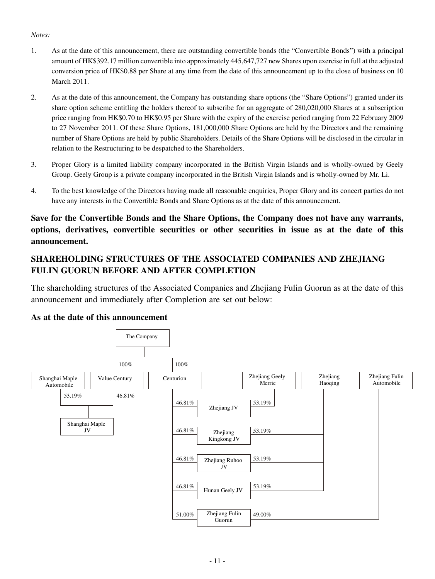#### *Notes:*

- 1. As at the date of this announcement, there are outstanding convertible bonds (the "Convertible Bonds") with a principal amount of HK\$392.17 million convertible into approximately 445,647,727 new Shares upon exercise in full at the adjusted conversion price of HK\$0.88 per Share at any time from the date of this announcement up to the close of business on 10 March 2011.
- 2. As at the date of this announcement, the Company has outstanding share options (the "Share Options") granted under its share option scheme entitling the holders thereof to subscribe for an aggregate of 280,020,000 Shares at a subscription price ranging from HK\$0.70 to HK\$0.95 per Share with the expiry of the exercise period ranging from 22 February 2009 to 27 November 2011. Of these Share Options, 181,000,000 Share Options are held by the Directors and the remaining number of Share Options are held by public Shareholders. Details of the Share Options will be disclosed in the circular in relation to the Restructuring to be despatched to the Shareholders.
- 3. Proper Glory is a limited liability company incorporated in the British Virgin Islands and is wholly-owned by Geely Group. Geely Group is a private company incorporated in the British Virgin Islands and is wholly-owned by Mr. Li.
- 4. To the best knowledge of the Directors having made all reasonable enquiries, Proper Glory and its concert parties do not have any interests in the Convertible Bonds and Share Options as at the date of this announcement.

**Save for the Convertible Bonds and the Share Options, the Company does not have any warrants, options, derivatives, convertible securities or other securities in issue as at the date of this announcement.**

### **SHAREHOLDING STRUCTURES OF THE ASSOCIATED COMPANIES AND ZHEJIANG FULIN GUORUN BEFORE AND AFTER COMPLETION**

The shareholding structures of the Associated Companies and Zhejiang Fulin Guorun as at the date of this announcement and immediately after Completion are set out below:

#### **As at the date of this announcement**

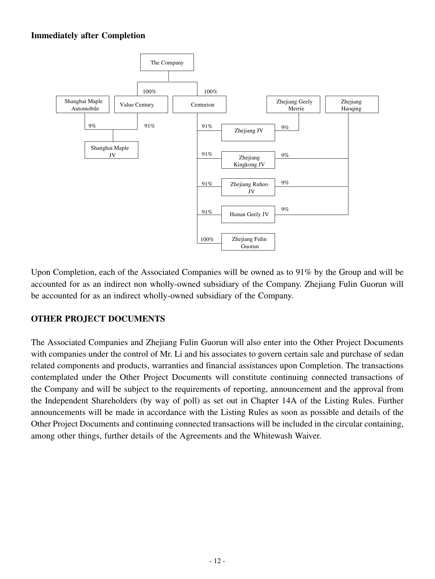### **Immediately after Completion**



Upon Completion, each of the Associated Companies will be owned as to 91% by the Group and will be accounted for as an indirect non wholly-owned subsidiary of the Company. Zhejiang Fulin Guorun will be accounted for as an indirect wholly-owned subsidiary of the Company.

#### **OTHER PROJECT DOCUMENTS**

The Associated Companies and Zhejiang Fulin Guorun will also enter into the Other Project Documents with companies under the control of Mr. Li and his associates to govern certain sale and purchase of sedan related components and products, warranties and financial assistances upon Completion. The transactions contemplated under the Other Project Documents will constitute continuing connected transactions of the Company and will be subject to the requirements of reporting, announcement and the approval from the Independent Shareholders (by way of poll) as set out in Chapter 14A of the Listing Rules. Further announcements will be made in accordance with the Listing Rules as soon as possible and details of the Other Project Documents and continuing connected transactions will be included in the circular containing, among other things, further details of the Agreements and the Whitewash Waiver.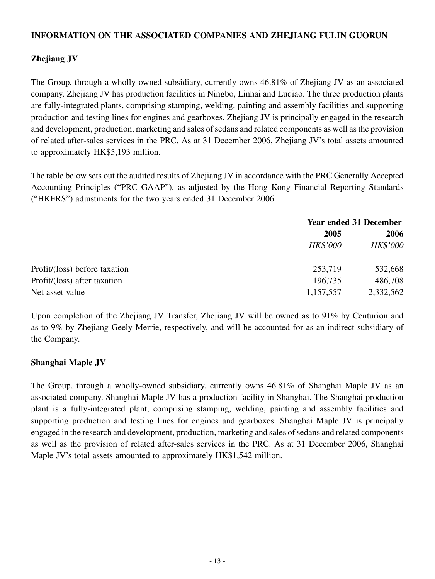#### **INFORMATION ON THE ASSOCIATED COMPANIES AND ZHEJIANG FULIN GUORUN**

### **Zhejiang JV**

The Group, through a wholly-owned subsidiary, currently owns 46.81% of Zhejiang JV as an associated company. Zhejiang JV has production facilities in Ningbo, Linhai and Luqiao. The three production plants are fully-integrated plants, comprising stamping, welding, painting and assembly facilities and supporting production and testing lines for engines and gearboxes. Zhejiang JV is principally engaged in the research and development, production, marketing and sales of sedans and related components as well as the provision of related after-sales services in the PRC. As at 31 December 2006, Zhejiang JV's total assets amounted to approximately HK\$5,193 million.

The table below sets out the audited results of Zhejiang JV in accordance with the PRC Generally Accepted Accounting Principles ("PRC GAAP"), as adjusted by the Hong Kong Financial Reporting Standards ("HKFRS") adjustments for the two years ended 31 December 2006.

|                               |                 | <b>Year ended 31 December</b> |  |  |
|-------------------------------|-----------------|-------------------------------|--|--|
|                               | 2005            | 2006                          |  |  |
|                               | <b>HK\$'000</b> | HK\$'000                      |  |  |
| Profit/(loss) before taxation | 253,719         | 532,668                       |  |  |
| Profit/(loss) after taxation  | 196,735         | 486,708                       |  |  |
| Net asset value               | 1,157,557       | 2,332,562                     |  |  |

Upon completion of the Zhejiang JV Transfer, Zhejiang JV will be owned as to 91% by Centurion and as to 9% by Zhejiang Geely Merrie, respectively, and will be accounted for as an indirect subsidiary of the Company.

#### **Shanghai Maple JV**

The Group, through a wholly-owned subsidiary, currently owns 46.81% of Shanghai Maple JV as an associated company. Shanghai Maple JV has a production facility in Shanghai. The Shanghai production plant is a fully-integrated plant, comprising stamping, welding, painting and assembly facilities and supporting production and testing lines for engines and gearboxes. Shanghai Maple JV is principally engaged in the research and development, production, marketing and sales of sedans and related components as well as the provision of related after-sales services in the PRC. As at 31 December 2006, Shanghai Maple JV's total assets amounted to approximately HK\$1,542 million.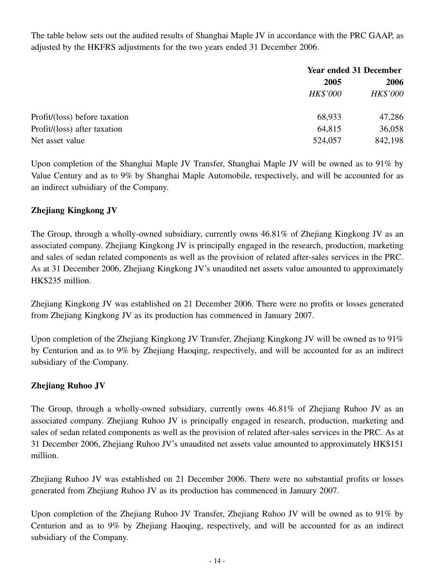The table below sets out the audited results of Shanghai Maple JV in accordance with the PRC GAAP, as adjusted by the HKFRS adjustments for the two years ended 31 December 2006.

|                               | <b>Year ended 31 December</b> |                 |  |
|-------------------------------|-------------------------------|-----------------|--|
|                               | 2005                          |                 |  |
|                               | <b>HK\$'000</b>               | <b>HK\$'000</b> |  |
| Profit/(loss) before taxation | 68,933                        | 47,286          |  |
| Profit/(loss) after taxation  | 64,815                        | 36,058          |  |
| Net asset value               | 524,057                       | 842,198         |  |

Upon completion of the Shanghai Maple JV Transfer, Shanghai Maple JV will be owned as to 91% by Value Century and as to 9% by Shanghai Maple Automobile, respectively, and will be accounted for as an indirect subsidiary of the Company.

### **Zhejiang Kingkong JV**

The Group, through a wholly-owned subsidiary, currently owns 46.81% of Zhejiang Kingkong JV as an associated company. Zhejiang Kingkong JV is principally engaged in the research, production, marketing and sales of sedan related components as well as the provision of related after-sales services in the PRC. As at 31 December 2006, Zhejiang Kingkong JV's unaudited net assets value amounted to approximately HK\$235 million.

Zhejiang Kingkong JV was established on 21 December 2006. There were no profits or losses generated from Zhejiang Kingkong JV as its production has commenced in January 2007.

Upon completion of the Zhejiang Kingkong JV Transfer, Zhejiang Kingkong JV will be owned as to 91% by Centurion and as to 9% by Zhejiang Haoqing, respectively, and will be accounted for as an indirect subsidiary of the Company.

#### **Zhejiang Ruhoo JV**

The Group, through a wholly-owned subsidiary, currently owns 46.81% of Zhejiang Ruhoo JV as an associated company. Zhejiang Ruhoo JV is principally engaged in research, production, marketing and sales of sedan related components as well as the provision of related after-sales services in the PRC. As at 31 December 2006, Zhejiang Ruhoo JV's unaudited net assets value amounted to approximately HK\$151 million.

Zhejiang Ruhoo JV was established on 21 December 2006. There were no substantial profits or losses generated from Zhejiang Ruhoo JV as its production has commenced in January 2007.

Upon completion of the Zhejiang Ruhoo JV Transfer, Zhejiang Ruhoo JV will be owned as to 91% by Centurion and as to 9% by Zhejiang Haoqing, respectively, and will be accounted for as an indirect subsidiary of the Company.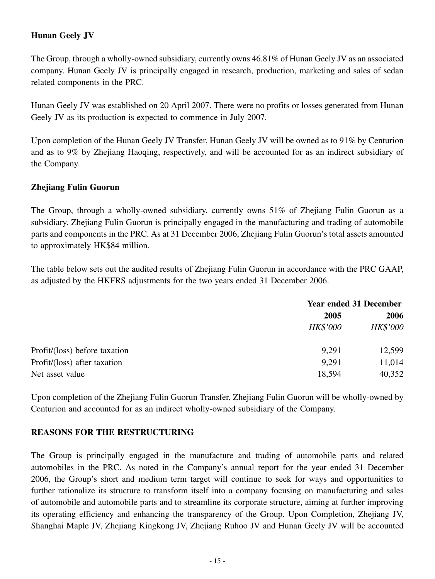### **Hunan Geely JV**

The Group, through a wholly-owned subsidiary, currently owns 46.81% of Hunan Geely JV as an associated company. Hunan Geely JV is principally engaged in research, production, marketing and sales of sedan related components in the PRC.

Hunan Geely JV was established on 20 April 2007. There were no profits or losses generated from Hunan Geely JV as its production is expected to commence in July 2007.

Upon completion of the Hunan Geely JV Transfer, Hunan Geely JV will be owned as to 91% by Centurion and as to 9% by Zhejiang Haoqing, respectively, and will be accounted for as an indirect subsidiary of the Company.

#### **Zhejiang Fulin Guorun**

The Group, through a wholly-owned subsidiary, currently owns 51% of Zhejiang Fulin Guorun as a subsidiary. Zhejiang Fulin Guorun is principally engaged in the manufacturing and trading of automobile parts and components in the PRC. As at 31 December 2006, Zhejiang Fulin Guorun's total assets amounted to approximately HK\$84 million.

The table below sets out the audited results of Zhejiang Fulin Guorun in accordance with the PRC GAAP, as adjusted by the HKFRS adjustments for the two years ended 31 December 2006.

|                               |                 | <b>Year ended 31 December</b> |  |  |
|-------------------------------|-----------------|-------------------------------|--|--|
|                               | 2005            |                               |  |  |
|                               | <b>HK\$'000</b> | <b>HK\$'000</b>               |  |  |
| Profit/(loss) before taxation | 9,291           | 12,599                        |  |  |
| Profit/(loss) after taxation  | 9,291           | 11,014                        |  |  |
| Net asset value               | 18,594          | 40,352                        |  |  |

Upon completion of the Zhejiang Fulin Guorun Transfer, Zhejiang Fulin Guorun will be wholly-owned by Centurion and accounted for as an indirect wholly-owned subsidiary of the Company.

#### **REASONS FOR THE RESTRUCTURING**

The Group is principally engaged in the manufacture and trading of automobile parts and related automobiles in the PRC. As noted in the Company's annual report for the year ended 31 December 2006, the Group's short and medium term target will continue to seek for ways and opportunities to further rationalize its structure to transform itself into a company focusing on manufacturing and sales of automobile and automobile parts and to streamline its corporate structure, aiming at further improving its operating efficiency and enhancing the transparency of the Group. Upon Completion, Zhejiang JV, Shanghai Maple JV, Zhejiang Kingkong JV, Zhejiang Ruhoo JV and Hunan Geely JV will be accounted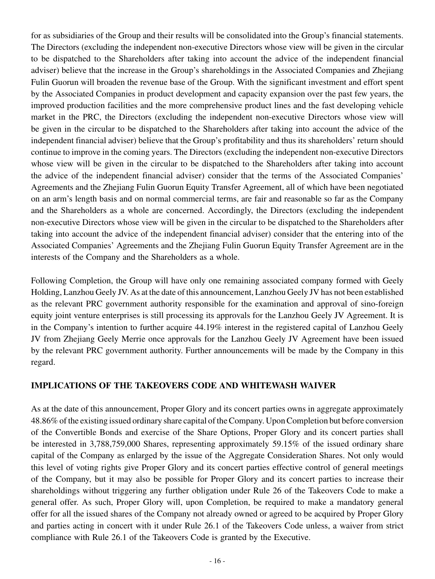for as subsidiaries of the Group and their results will be consolidated into the Group's financial statements. The Directors (excluding the independent non-executive Directors whose view will be given in the circular to be dispatched to the Shareholders after taking into account the advice of the independent financial adviser) believe that the increase in the Group's shareholdings in the Associated Companies and Zhejiang Fulin Guorun will broaden the revenue base of the Group. With the significant investment and effort spent by the Associated Companies in product development and capacity expansion over the past few years, the improved production facilities and the more comprehensive product lines and the fast developing vehicle market in the PRC, the Directors (excluding the independent non-executive Directors whose view will be given in the circular to be dispatched to the Shareholders after taking into account the advice of the independent financial adviser) believe that the Group's profitability and thus its shareholders' return should continue to improve in the coming years. The Directors (excluding the independent non-executive Directors whose view will be given in the circular to be dispatched to the Shareholders after taking into account the advice of the independent financial adviser) consider that the terms of the Associated Companies' Agreements and the Zhejiang Fulin Guorun Equity Transfer Agreement, all of which have been negotiated on an arm's length basis and on normal commercial terms, are fair and reasonable so far as the Company and the Shareholders as a whole are concerned. Accordingly, the Directors (excluding the independent non-executive Directors whose view will be given in the circular to be dispatched to the Shareholders after taking into account the advice of the independent financial adviser) consider that the entering into of the Associated Companies' Agreements and the Zhejiang Fulin Guorun Equity Transfer Agreement are in the interests of the Company and the Shareholders as a whole.

Following Completion, the Group will have only one remaining associated company formed with Geely Holding, Lanzhou Geely JV. As at the date of this announcement, Lanzhou Geely JV has not been established as the relevant PRC government authority responsible for the examination and approval of sino-foreign equity joint venture enterprises is still processing its approvals for the Lanzhou Geely JV Agreement. It is in the Company's intention to further acquire 44.19% interest in the registered capital of Lanzhou Geely JV from Zhejiang Geely Merrie once approvals for the Lanzhou Geely JV Agreement have been issued by the relevant PRC government authority. Further announcements will be made by the Company in this regard.

#### **IMPLICATIONS OF THE TAKEOVERS CODE AND WHITEWASH WAIVER**

As at the date of this announcement, Proper Glory and its concert parties owns in aggregate approximately 48.86% of the existing issued ordinary share capital of the Company. Upon Completion but before conversion of the Convertible Bonds and exercise of the Share Options, Proper Glory and its concert parties shall be interested in 3,788,759,000 Shares, representing approximately 59.15% of the issued ordinary share capital of the Company as enlarged by the issue of the Aggregate Consideration Shares. Not only would this level of voting rights give Proper Glory and its concert parties effective control of general meetings of the Company, but it may also be possible for Proper Glory and its concert parties to increase their shareholdings without triggering any further obligation under Rule 26 of the Takeovers Code to make a general offer. As such, Proper Glory will, upon Completion, be required to make a mandatory general offer for all the issued shares of the Company not already owned or agreed to be acquired by Proper Glory and parties acting in concert with it under Rule 26.1 of the Takeovers Code unless, a waiver from strict compliance with Rule 26.1 of the Takeovers Code is granted by the Executive.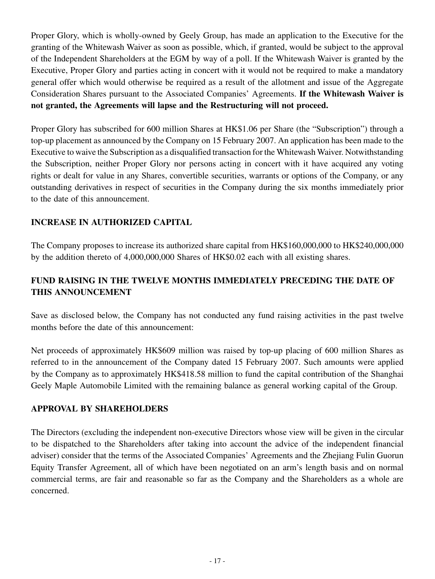Proper Glory, which is wholly-owned by Geely Group, has made an application to the Executive for the granting of the Whitewash Waiver as soon as possible, which, if granted, would be subject to the approval of the Independent Shareholders at the EGM by way of a poll. If the Whitewash Waiver is granted by the Executive, Proper Glory and parties acting in concert with it would not be required to make a mandatory general offer which would otherwise be required as a result of the allotment and issue of the Aggregate Consideration Shares pursuant to the Associated Companies' Agreements. **If the Whitewash Waiver is not granted, the Agreements will lapse and the Restructuring will not proceed.**

Proper Glory has subscribed for 600 million Shares at HK\$1.06 per Share (the "Subscription") through a top-up placement as announced by the Company on 15 February 2007. An application has been made to the Executive to waive the Subscription as a disqualified transaction for the Whitewash Waiver. Notwithstanding the Subscription, neither Proper Glory nor persons acting in concert with it have acquired any voting rights or dealt for value in any Shares, convertible securities, warrants or options of the Company, or any outstanding derivatives in respect of securities in the Company during the six months immediately prior to the date of this announcement.

### **INCREASE IN AUTHORIZED CAPITAL**

The Company proposes to increase its authorized share capital from HK\$160,000,000 to HK\$240,000,000 by the addition thereto of 4,000,000,000 Shares of HK\$0.02 each with all existing shares.

## **FUND RAISING IN THE TWELVE MONTHS IMMEDIATELY PRECEDING THE DATE OF THIS ANNOUNCEMENT**

Save as disclosed below, the Company has not conducted any fund raising activities in the past twelve months before the date of this announcement:

Net proceeds of approximately HK\$609 million was raised by top-up placing of 600 million Shares as referred to in the announcement of the Company dated 15 February 2007. Such amounts were applied by the Company as to approximately HK\$418.58 million to fund the capital contribution of the Shanghai Geely Maple Automobile Limited with the remaining balance as general working capital of the Group.

#### **APPROVAL BY SHAREHOLDERS**

The Directors (excluding the independent non-executive Directors whose view will be given in the circular to be dispatched to the Shareholders after taking into account the advice of the independent financial adviser) consider that the terms of the Associated Companies' Agreements and the Zhejiang Fulin Guorun Equity Transfer Agreement, all of which have been negotiated on an arm's length basis and on normal commercial terms, are fair and reasonable so far as the Company and the Shareholders as a whole are concerned.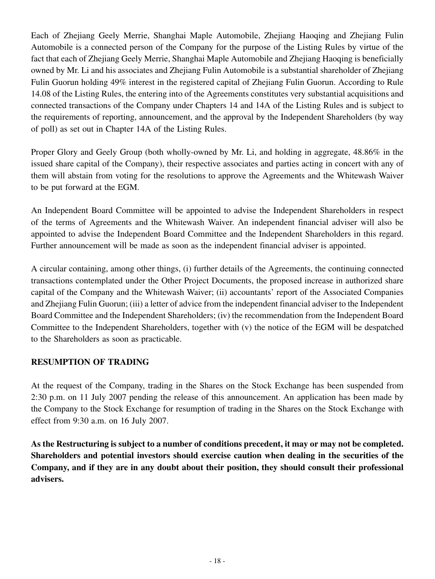Each of Zhejiang Geely Merrie, Shanghai Maple Automobile, Zhejiang Haoqing and Zhejiang Fulin Automobile is a connected person of the Company for the purpose of the Listing Rules by virtue of the fact that each of Zhejiang Geely Merrie, Shanghai Maple Automobile and Zhejiang Haoqing is beneficially owned by Mr. Li and his associates and Zhejiang Fulin Automobile is a substantial shareholder of Zhejiang Fulin Guorun holding 49% interest in the registered capital of Zhejiang Fulin Guorun. According to Rule 14.08 of the Listing Rules, the entering into of the Agreements constitutes very substantial acquisitions and connected transactions of the Company under Chapters 14 and 14A of the Listing Rules and is subject to the requirements of reporting, announcement, and the approval by the Independent Shareholders (by way of poll) as set out in Chapter 14A of the Listing Rules.

Proper Glory and Geely Group (both wholly-owned by Mr. Li, and holding in aggregate, 48.86% in the issued share capital of the Company), their respective associates and parties acting in concert with any of them will abstain from voting for the resolutions to approve the Agreements and the Whitewash Waiver to be put forward at the EGM.

An Independent Board Committee will be appointed to advise the Independent Shareholders in respect of the terms of Agreements and the Whitewash Waiver. An independent financial adviser will also be appointed to advise the Independent Board Committee and the Independent Shareholders in this regard. Further announcement will be made as soon as the independent financial adviser is appointed.

A circular containing, among other things, (i) further details of the Agreements, the continuing connected transactions contemplated under the Other Project Documents, the proposed increase in authorized share capital of the Company and the Whitewash Waiver; (ii) accountants' report of the Associated Companies and Zhejiang Fulin Guorun; (iii) a letter of advice from the independent financial adviser to the Independent Board Committee and the Independent Shareholders; (iv) the recommendation from the Independent Board Committee to the Independent Shareholders, together with (v) the notice of the EGM will be despatched to the Shareholders as soon as practicable.

### **RESUMPTION OF TRADING**

At the request of the Company, trading in the Shares on the Stock Exchange has been suspended from 2:30 p.m. on 11 July 2007 pending the release of this announcement. An application has been made by the Company to the Stock Exchange for resumption of trading in the Shares on the Stock Exchange with effect from 9:30 a.m. on 16 July 2007.

**As the Restructuring is subject to a number of conditions precedent, it may or may not be completed. Shareholders and potential investors should exercise caution when dealing in the securities of the Company, and if they are in any doubt about their position, they should consult their professional advisers.**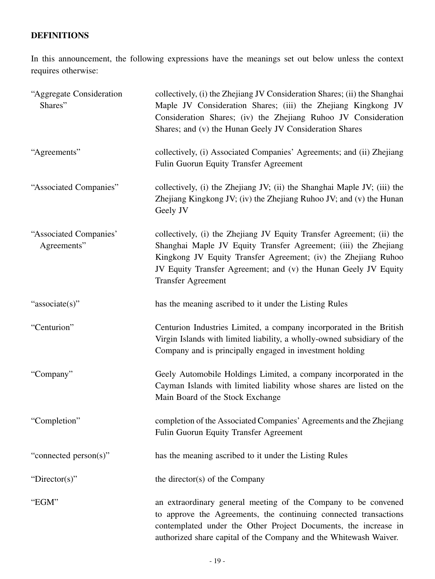# **DEFINITIONS**

In this announcement, the following expressions have the meanings set out below unless the context requires otherwise:

| "Aggregate Consideration<br>Shares"   | collectively, (i) the Zhejiang JV Consideration Shares; (ii) the Shanghai<br>Maple JV Consideration Shares; (iii) the Zhejiang Kingkong JV<br>Consideration Shares; (iv) the Zhejiang Ruhoo JV Consideration<br>Shares; and (v) the Hunan Geely JV Consideration Shares                                    |  |  |
|---------------------------------------|------------------------------------------------------------------------------------------------------------------------------------------------------------------------------------------------------------------------------------------------------------------------------------------------------------|--|--|
| "Agreements"                          | collectively, (i) Associated Companies' Agreements; and (ii) Zhejiang<br>Fulin Guorun Equity Transfer Agreement                                                                                                                                                                                            |  |  |
| "Associated Companies"                | collectively, (i) the Zhejiang JV; (ii) the Shanghai Maple JV; (iii) the<br>Zhejiang Kingkong JV; (iv) the Zhejiang Ruhoo JV; and (v) the Hunan<br>Geely JV                                                                                                                                                |  |  |
| "Associated Companies"<br>Agreements" | collectively, (i) the Zhejiang JV Equity Transfer Agreement; (ii) the<br>Shanghai Maple JV Equity Transfer Agreement; (iii) the Zhejiang<br>Kingkong JV Equity Transfer Agreement; (iv) the Zhejiang Ruhoo<br>JV Equity Transfer Agreement; and (v) the Hunan Geely JV Equity<br><b>Transfer Agreement</b> |  |  |
| "associate(s)"                        | has the meaning ascribed to it under the Listing Rules                                                                                                                                                                                                                                                     |  |  |
| "Centurion"                           | Centurion Industries Limited, a company incorporated in the British<br>Virgin Islands with limited liability, a wholly-owned subsidiary of the<br>Company and is principally engaged in investment holding                                                                                                 |  |  |
| "Company"                             | Geely Automobile Holdings Limited, a company incorporated in the<br>Cayman Islands with limited liability whose shares are listed on the<br>Main Board of the Stock Exchange                                                                                                                               |  |  |
| "Completion"                          | completion of the Associated Companies' Agreements and the Zhejiang<br><b>Fulin Guorun Equity Transfer Agreement</b>                                                                                                                                                                                       |  |  |
| "connected person(s)"                 | has the meaning ascribed to it under the Listing Rules                                                                                                                                                                                                                                                     |  |  |
| "Director(s)"                         | the director(s) of the Company                                                                                                                                                                                                                                                                             |  |  |
| "EGM"                                 | an extraordinary general meeting of the Company to be convened<br>to approve the Agreements, the continuing connected transactions<br>contemplated under the Other Project Documents, the increase in<br>authorized share capital of the Company and the Whitewash Waiver.                                 |  |  |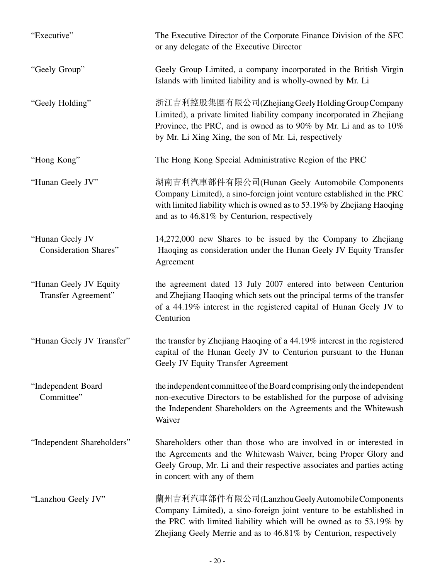| "Executive"                                     | The Executive Director of the Corporate Finance Division of the SFC<br>or any delegate of the Executive Director                                                                                                                                                   |
|-------------------------------------------------|--------------------------------------------------------------------------------------------------------------------------------------------------------------------------------------------------------------------------------------------------------------------|
| "Geely Group"                                   | Geely Group Limited, a company incorporated in the British Virgin<br>Islands with limited liability and is wholly-owned by Mr. Li                                                                                                                                  |
| "Geely Holding"                                 | 浙江吉利控股集團有限公司(Zhejiang Geely Holding Group Company<br>Limited), a private limited liability company incorporated in Zhejiang<br>Province, the PRC, and is owned as to 90% by Mr. Li and as to 10%<br>by Mr. Li Xing Xing, the son of Mr. Li, respectively           |
| "Hong Kong"                                     | The Hong Kong Special Administrative Region of the PRC                                                                                                                                                                                                             |
| "Hunan Geely JV"                                | 湖南吉利汽車部件有限公司(Hunan Geely Automobile Components<br>Company Limited), a sino-foreign joint venture established in the PRC<br>with limited liability which is owned as to 53.19% by Zhejiang Haoqing<br>and as to 46.81% by Centurion, respectively                   |
| "Hunan Geely JV<br><b>Consideration Shares"</b> | 14,272,000 new Shares to be issued by the Company to Zhejiang<br>Haoqing as consideration under the Hunan Geely JV Equity Transfer<br>Agreement                                                                                                                    |
| "Hunan Geely JV Equity<br>Transfer Agreement"   | the agreement dated 13 July 2007 entered into between Centurion<br>and Zhejiang Haoqing which sets out the principal terms of the transfer<br>of a 44.19% interest in the registered capital of Hunan Geely JV to<br>Centurion                                     |
| "Hunan Geely JV Transfer"                       | the transfer by Zhejiang Haoqing of a 44.19% interest in the registered<br>capital of the Hunan Geely JV to Centurion pursuant to the Hunan<br>Geely JV Equity Transfer Agreement                                                                                  |
| "Independent Board<br>Committee"                | the independent committee of the Board comprising only the independent<br>non-executive Directors to be established for the purpose of advising<br>the Independent Shareholders on the Agreements and the Whitewash<br>Waiver                                      |
| "Independent Shareholders"                      | Shareholders other than those who are involved in or interested in<br>the Agreements and the Whitewash Waiver, being Proper Glory and<br>Geely Group, Mr. Li and their respective associates and parties acting<br>in concert with any of them                     |
| "Lanzhou Geely JV"                              | 蘭州吉利汽車部件有限公司(Lanzhou Geely Automobile Components<br>Company Limited), a sino-foreign joint venture to be established in<br>the PRC with limited liability which will be owned as to 53.19% by<br>Zhejiang Geely Merrie and as to 46.81% by Centurion, respectively |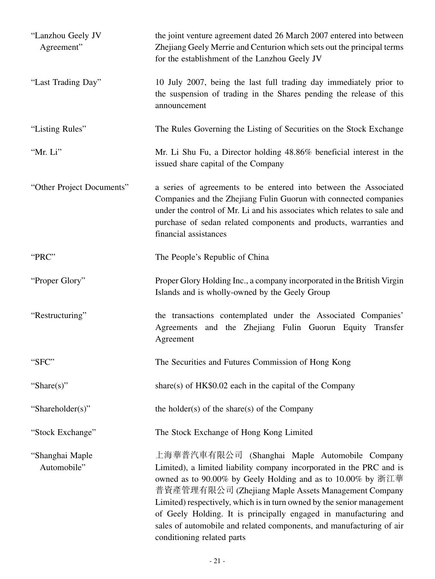| "Lanzhou Geely JV<br>Agreement" | the joint venture agreement dated 26 March 2007 entered into between<br>Zhejiang Geely Merrie and Centurion which sets out the principal terms<br>for the establishment of the Lanzhou Geely JV                                                                                                                                                                                                                                                                                                 |
|---------------------------------|-------------------------------------------------------------------------------------------------------------------------------------------------------------------------------------------------------------------------------------------------------------------------------------------------------------------------------------------------------------------------------------------------------------------------------------------------------------------------------------------------|
| "Last Trading Day"              | 10 July 2007, being the last full trading day immediately prior to<br>the suspension of trading in the Shares pending the release of this<br>announcement                                                                                                                                                                                                                                                                                                                                       |
| "Listing Rules"                 | The Rules Governing the Listing of Securities on the Stock Exchange                                                                                                                                                                                                                                                                                                                                                                                                                             |
| "Mr. Li"                        | Mr. Li Shu Fu, a Director holding 48.86% beneficial interest in the<br>issued share capital of the Company                                                                                                                                                                                                                                                                                                                                                                                      |
| "Other Project Documents"       | a series of agreements to be entered into between the Associated<br>Companies and the Zhejiang Fulin Guorun with connected companies<br>under the control of Mr. Li and his associates which relates to sale and<br>purchase of sedan related components and products, warranties and<br>financial assistances                                                                                                                                                                                  |
| "PRC"                           | The People's Republic of China                                                                                                                                                                                                                                                                                                                                                                                                                                                                  |
| "Proper Glory"                  | Proper Glory Holding Inc., a company incorporated in the British Virgin<br>Islands and is wholly-owned by the Geely Group                                                                                                                                                                                                                                                                                                                                                                       |
| "Restructuring"                 | the transactions contemplated under the Associated Companies'<br>Agreements and the Zhejiang Fulin Guorun Equity Transfer<br>Agreement                                                                                                                                                                                                                                                                                                                                                          |
| "SFC"                           | The Securities and Futures Commission of Hong Kong                                                                                                                                                                                                                                                                                                                                                                                                                                              |
| "Share $(s)$ "                  | share(s) of $HK$0.02$ each in the capital of the Company                                                                                                                                                                                                                                                                                                                                                                                                                                        |
| "Shareholder(s)"                | the holder(s) of the share(s) of the Company                                                                                                                                                                                                                                                                                                                                                                                                                                                    |
| "Stock Exchange"                | The Stock Exchange of Hong Kong Limited                                                                                                                                                                                                                                                                                                                                                                                                                                                         |
| "Shanghai Maple<br>Automobile"  | 上海華普汽車有限公司 (Shanghai Maple Automobile Company<br>Limited), a limited liability company incorporated in the PRC and is<br>owned as to 90.00% by Geely Holding and as to 10.00% by 浙江華<br>普資產管理有限公司 (Zhejiang Maple Assets Management Company<br>Limited) respectively, which is in turn owned by the senior management<br>of Geely Holding. It is principally engaged in manufacturing and<br>sales of automobile and related components, and manufacturing of air<br>conditioning related parts |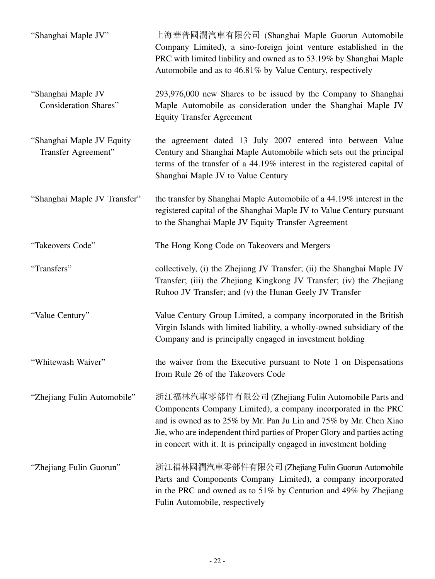| "Shanghai Maple JV"                                | 上海華普國潤汽車有限公司 (Shanghai Maple Guorun Automobile<br>Company Limited), a sino-foreign joint venture established in the<br>PRC with limited liability and owned as to 53.19% by Shanghai Maple<br>Automobile and as to 46.81% by Value Century, respectively                                                                                      |
|----------------------------------------------------|-----------------------------------------------------------------------------------------------------------------------------------------------------------------------------------------------------------------------------------------------------------------------------------------------------------------------------------------------|
| "Shanghai Maple JV<br><b>Consideration Shares"</b> | 293,976,000 new Shares to be issued by the Company to Shanghai<br>Maple Automobile as consideration under the Shanghai Maple JV<br><b>Equity Transfer Agreement</b>                                                                                                                                                                           |
| "Shanghai Maple JV Equity<br>Transfer Agreement"   | the agreement dated 13 July 2007 entered into between Value<br>Century and Shanghai Maple Automobile which sets out the principal<br>terms of the transfer of a 44.19% interest in the registered capital of<br>Shanghai Maple JV to Value Century                                                                                            |
| "Shanghai Maple JV Transfer"                       | the transfer by Shanghai Maple Automobile of a 44.19% interest in the<br>registered capital of the Shanghai Maple JV to Value Century pursuant<br>to the Shanghai Maple JV Equity Transfer Agreement                                                                                                                                          |
| "Takeovers Code"                                   | The Hong Kong Code on Takeovers and Mergers                                                                                                                                                                                                                                                                                                   |
| "Transfers"                                        | collectively, (i) the Zhejiang JV Transfer; (ii) the Shanghai Maple JV<br>Transfer; (iii) the Zhejiang Kingkong JV Transfer; (iv) the Zhejiang<br>Ruhoo JV Transfer; and (v) the Hunan Geely JV Transfer                                                                                                                                      |
| "Value Century"                                    | Value Century Group Limited, a company incorporated in the British<br>Virgin Islands with limited liability, a wholly-owned subsidiary of the<br>Company and is principally engaged in investment holding                                                                                                                                     |
| "Whitewash Waiver"                                 | the waiver from the Executive pursuant to Note 1 on Dispensations<br>from Rule 26 of the Takeovers Code                                                                                                                                                                                                                                       |
| "Zhejiang Fulin Automobile"                        | 浙江福林汽車零部件有限公司 (Zhejiang Fulin Automobile Parts and<br>Components Company Limited), a company incorporated in the PRC<br>and is owned as to 25% by Mr. Pan Ju Lin and 75% by Mr. Chen Xiao<br>Jie, who are independent third parties of Proper Glory and parties acting<br>in concert with it. It is principally engaged in investment holding |
| "Zhejiang Fulin Guorun"                            | 浙江福林國潤汽車零部件有限公司 (Zhejiang Fulin Guorun Automobile<br>Parts and Components Company Limited), a company incorporated<br>in the PRC and owned as to 51% by Centurion and 49% by Zhejiang<br>Fulin Automobile, respectively                                                                                                                       |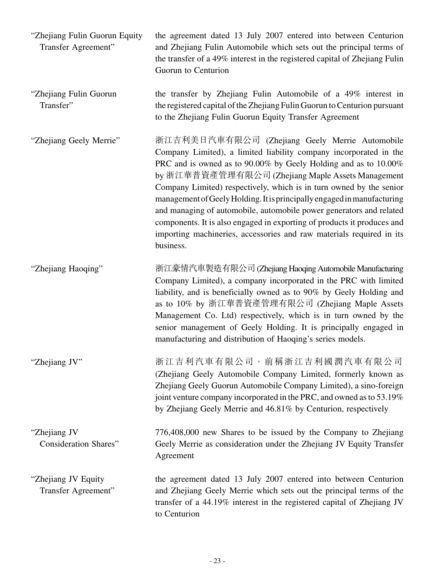| "Zhejiang Fulin Guorun Equity<br>Transfer Agreement" | the agreement dated 13 July 2007 entered into between Centurion<br>and Zhejiang Fulin Automobile which sets out the principal terms of<br>the transfer of a 49% interest in the registered capital of Zhejiang Fulin<br>Guorun to Centurion                                                                                                                                                                                                                                                                                                                                                                                          |
|------------------------------------------------------|--------------------------------------------------------------------------------------------------------------------------------------------------------------------------------------------------------------------------------------------------------------------------------------------------------------------------------------------------------------------------------------------------------------------------------------------------------------------------------------------------------------------------------------------------------------------------------------------------------------------------------------|
| "Zhejiang Fulin Guorun<br>Transfer"                  | the transfer by Zhejiang Fulin Automobile of a 49% interest in<br>the registered capital of the Zhejiang Fulin Guorun to Centurion pursuant<br>to the Zhejiang Fulin Guorun Equity Transfer Agreement                                                                                                                                                                                                                                                                                                                                                                                                                                |
| "Zhejiang Geely Merrie"                              | 浙江吉利美日汽車有限公司 (Zhejiang Geely Merrie Automobile<br>Company Limited), a limited liability company incorporated in the<br>PRC and is owned as to 90.00% by Geely Holding and as to 10.00%<br>by 浙江華普資產管理有限公司 (Zhejiang Maple Assets Management<br>Company Limited) respectively, which is in turn owned by the senior<br>management of Geely Holding. It is principally engaged in manufacturing<br>and managing of automobile, automobile power generators and related<br>components. It is also engaged in exporting of products it produces and<br>importing machineries, accessories and raw materials required in its<br>business. |
| "Zhejiang Haoqing"                                   | 浙江豪情汽車製造有限公司 (Zhejiang Haoqing Automobile Manufacturing<br>Company Limited), a company incorporated in the PRC with limited<br>liability, and is beneficially owned as to 90% by Geely Holding and<br>as to 10% by 浙江華普資產管理有限公司 (Zhejiang Maple Assets<br>Management Co. Ltd) respectively, which is in turn owned by the<br>senior management of Geely Holding. It is principally engaged in<br>manufacturing and distribution of Haoqing's series models.                                                                                                                                                                          |
| "Zhejiang JV"                                        | 浙江吉利汽車有限公司, 前稱浙江吉利國潤汽車有限公司<br>(Zhejiang Geely Automobile Company Limited, formerly known as<br>Zhejiang Geely Guorun Automobile Company Limited), a sino-foreign<br>joint venture company incorporated in the PRC, and owned as to 53.19%<br>by Zhejiang Geely Merrie and 46.81% by Centurion, respectively                                                                                                                                                                                                                                                                                                                          |
| "Zhejiang JV<br><b>Consideration Shares"</b>         | 776,408,000 new Shares to be issued by the Company to Zhejiang<br>Geely Merrie as consideration under the Zhejiang JV Equity Transfer<br>Agreement                                                                                                                                                                                                                                                                                                                                                                                                                                                                                   |
| "Zhejiang JV Equity<br>Transfer Agreement"           | the agreement dated 13 July 2007 entered into between Centurion<br>and Zhejiang Geely Merrie which sets out the principal terms of the<br>transfer of a 44.19% interest in the registered capital of Zhejiang JV<br>to Centurion                                                                                                                                                                                                                                                                                                                                                                                                     |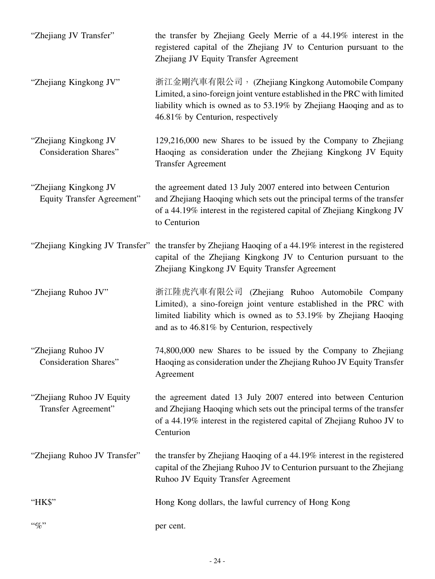| "Zhejiang JV Transfer"                                | the transfer by Zhejiang Geely Merrie of a 44.19% interest in the<br>registered capital of the Zhejiang JV to Centurion pursuant to the<br>Zhejiang JV Equity Transfer Agreement                                                           |
|-------------------------------------------------------|--------------------------------------------------------------------------------------------------------------------------------------------------------------------------------------------------------------------------------------------|
| "Zhejiang Kingkong JV"                                | 浙江金剛汽車有限公司, (Zhejiang Kingkong Automobile Company<br>Limited, a sino-foreign joint venture established in the PRC with limited<br>liability which is owned as to 53.19% by Zhejiang Haoqing and as to<br>46.81% by Centurion, respectively |
| "Zhejiang Kingkong JV<br><b>Consideration Shares"</b> | 129,216,000 new Shares to be issued by the Company to Zhejiang<br>Haoqing as consideration under the Zhejiang Kingkong JV Equity<br><b>Transfer Agreement</b>                                                                              |
| "Zhejiang Kingkong JV<br>Equity Transfer Agreement"   | the agreement dated 13 July 2007 entered into between Centurion<br>and Zhejiang Haoqing which sets out the principal terms of the transfer<br>of a 44.19% interest in the registered capital of Zhejiang Kingkong JV<br>to Centurion       |
|                                                       | "Zhejiang Kingking JV Transfer" the transfer by Zhejiang Haoqing of a 44.19% interest in the registered<br>capital of the Zhejiang Kingkong JV to Centurion pursuant to the<br>Zhejiang Kingkong JV Equity Transfer Agreement              |
| "Zhejiang Ruhoo JV"                                   | 浙江陸虎汽車有限公司 (Zhejiang Ruhoo Automobile Company<br>Limited), a sino-foreign joint venture established in the PRC with<br>limited liability which is owned as to 53.19% by Zhejiang Haoqing<br>and as to 46.81% by Centurion, respectively    |
| "Zhejiang Ruhoo JV<br>Consideration Shares"           | 74,800,000 new Shares to be issued by the Company to Zhejiang<br>Haoqing as consideration under the Zhejiang Ruhoo JV Equity Transfer<br>Agreement                                                                                         |
| "Zhejiang Ruhoo JV Equity"<br>Transfer Agreement"     | the agreement dated 13 July 2007 entered into between Centurion<br>and Zhejiang Haoqing which sets out the principal terms of the transfer<br>of a 44.19% interest in the registered capital of Zhejiang Ruhoo JV to<br>Centurion          |
| "Zhejiang Ruhoo JV Transfer"                          | the transfer by Zhejiang Haoqing of a 44.19% interest in the registered<br>capital of the Zhejiang Ruhoo JV to Centurion pursuant to the Zhejiang<br>Ruhoo JV Equity Transfer Agreement                                                    |
| "HK\$"                                                | Hong Kong dollars, the lawful currency of Hong Kong                                                                                                                                                                                        |
| $``\%"$                                               | per cent.                                                                                                                                                                                                                                  |